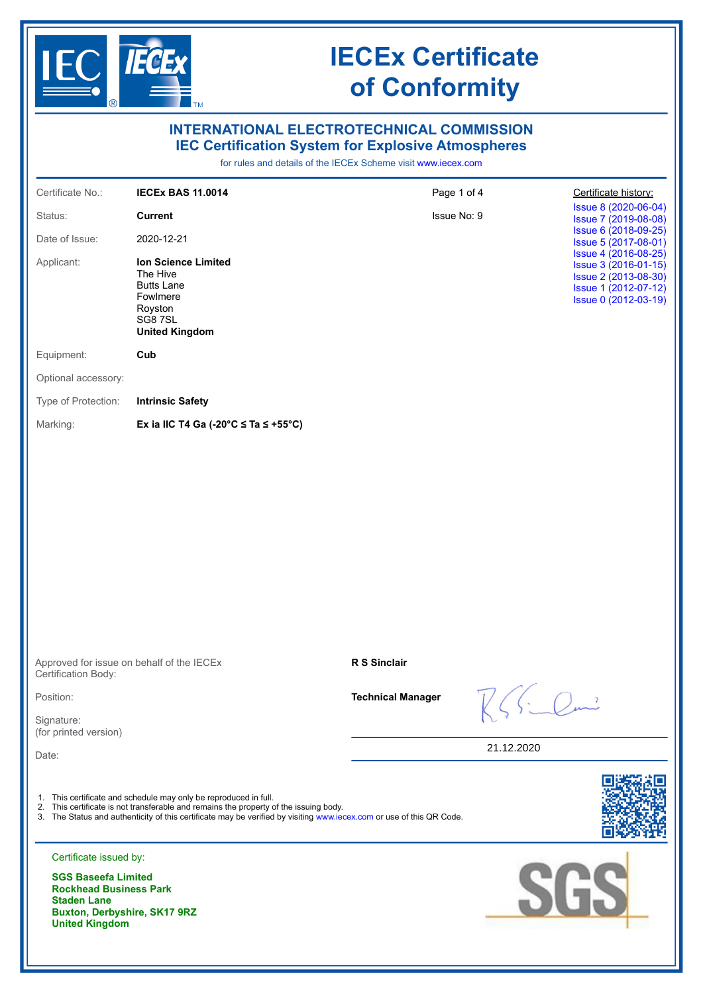

| <b>INTERNATIONAL ELECTROTECHNICAL COMMISSION</b><br><b>IEC Certification System for Explosive Atmospheres</b><br>for rules and details of the IECEx Scheme visit www.iecex.com |                                                                                                                                                                                                                                                                                   |                          |            |                                                                                                                      |
|--------------------------------------------------------------------------------------------------------------------------------------------------------------------------------|-----------------------------------------------------------------------------------------------------------------------------------------------------------------------------------------------------------------------------------------------------------------------------------|--------------------------|------------|----------------------------------------------------------------------------------------------------------------------|
| Certificate No.:                                                                                                                                                               | <b>IECEX BAS 11.0014</b>                                                                                                                                                                                                                                                          | Page 1 of 4              |            | Certificate history:                                                                                                 |
| Status:                                                                                                                                                                        | <b>Current</b>                                                                                                                                                                                                                                                                    | Issue No: 9              |            | Issue 8 (2020-06-04)<br>Issue 7 (2019-08-08)                                                                         |
| Date of Issue:                                                                                                                                                                 | 2020-12-21                                                                                                                                                                                                                                                                        |                          |            | Issue 6 (2018-09-25)<br>Issue 5 (2017-08-01)                                                                         |
| Applicant:                                                                                                                                                                     | <b>Ion Science Limited</b><br>The Hive<br><b>Butts Lane</b><br>Fowlmere<br>Royston<br>SG87SL<br><b>United Kingdom</b>                                                                                                                                                             |                          |            | Issue 4 (2016-08-25)<br>Issue 3 (2016-01-15)<br>Issue 2 (2013-08-30)<br>Issue 1 (2012-07-12)<br>Issue 0 (2012-03-19) |
| Equipment:                                                                                                                                                                     | Cub                                                                                                                                                                                                                                                                               |                          |            |                                                                                                                      |
| Optional accessory:                                                                                                                                                            |                                                                                                                                                                                                                                                                                   |                          |            |                                                                                                                      |
| Type of Protection:                                                                                                                                                            | <b>Intrinsic Safety</b>                                                                                                                                                                                                                                                           |                          |            |                                                                                                                      |
| Marking:                                                                                                                                                                       | Ex ia IIC T4 Ga (-20 $\degree$ C $\le$ Ta $\le$ +55 $\degree$ C)                                                                                                                                                                                                                  |                          |            |                                                                                                                      |
|                                                                                                                                                                                |                                                                                                                                                                                                                                                                                   |                          |            |                                                                                                                      |
| Approved for issue on behalf of the IECEx<br>Certification Body:                                                                                                               |                                                                                                                                                                                                                                                                                   | <b>R S Sinclair</b>      |            |                                                                                                                      |
| Position:                                                                                                                                                                      |                                                                                                                                                                                                                                                                                   | <b>Technical Manager</b> |            |                                                                                                                      |
| Signature:<br>(for printed version)                                                                                                                                            |                                                                                                                                                                                                                                                                                   |                          |            |                                                                                                                      |
| Date:                                                                                                                                                                          |                                                                                                                                                                                                                                                                                   |                          | 21.12.2020 |                                                                                                                      |
| Certificate issued by:<br><b>SGS Baseefa Limited</b><br><b>Rockhead Business Park</b><br><b>Staden Lane</b><br>Buxton, Derbyshire, SK17 9RZ<br><b>United Kingdom</b>           | 1. This certificate and schedule may only be reproduced in full.<br>2. This certificate is not transferable and remains the property of the issuing body.<br>3. The Status and authenticity of this certificate may be verified by visiting www.iecex.com or use of this QR Code. |                          |            | SGS                                                                                                                  |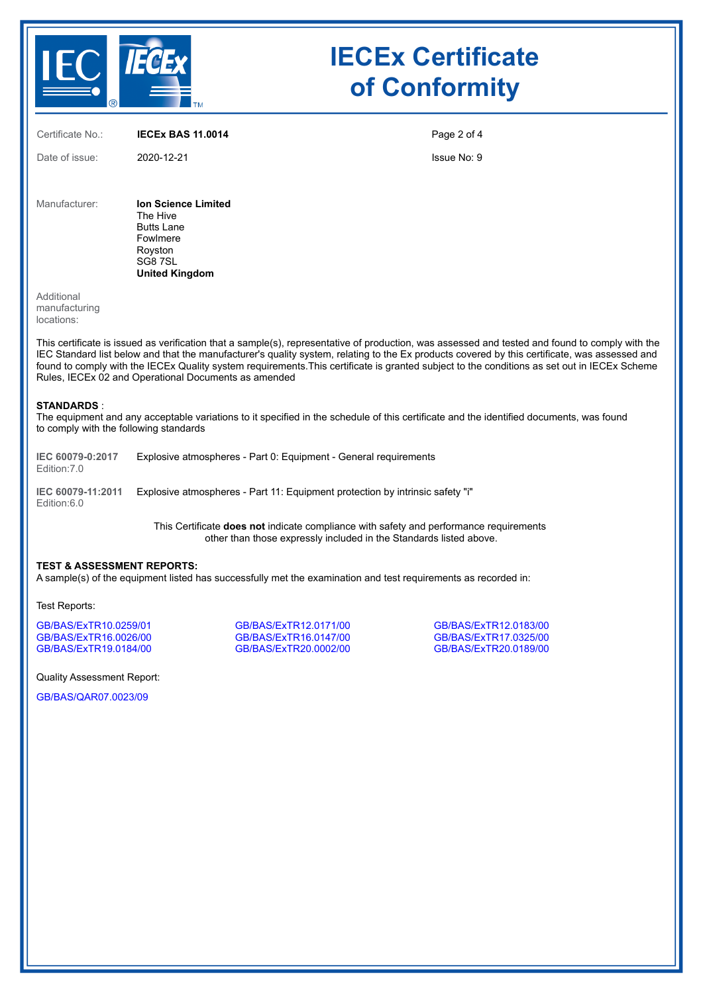

Certificate No.: **IECEx BAS 11.0014** Date of issue: 2020-12-21 Page 2 of 4 Issue No: 9 Manufacturer: **Ion Science Limited** The Hive Butts Lane Fowlmere Royston SG8 7SL **United Kingdom**

Additional manufacturing locations:

This certificate is issued as verification that a sample(s), representative of production, was assessed and tested and found to comply with the IEC Standard list below and that the manufacturer's quality system, relating to the Ex products covered by this certificate, was assessed and found to comply with the IECEx Quality system requirements.This certificate is granted subject to the conditions as set out in IECEx Scheme Rules, IECEx 02 and Operational Documents as amended

#### **STANDARDS** :

The equipment and any acceptable variations to it specified in the schedule of this certificate and the identified documents, was found to comply with the following standards

**IEC 60079-0:2017** Edition:7.0 Explosive atmospheres - Part 0: Equipment - General requirements

**IEC 60079-11:2011** Explosive atmospheres - Part 11: Equipment protection by intrinsic safety "i" Edition:6.0

> This Certificate **does not** indicate compliance with safety and performance requirements other than those expressly included in the Standards listed above.

#### **TEST & ASSESSMENT REPORTS:**

A sample(s) of the equipment listed has successfully met the examination and test requirements as recorded in:

Test Reports:

[GB/BAS/ExTR10.0259/01](https://www.iecex-certs.com/deliverables/REPORT/17427/view) [GB/BAS/ExTR12.0171/00](https://www.iecex-certs.com/deliverables/REPORT/18720/view) [GB/BAS/ExTR12.0183/00](https://www.iecex-certs.com/deliverables/REPORT/18771/view) [GB/BAS/ExTR16.0026/00](https://www.iecex-certs.com/deliverables/REPORT/19308/view) [GB/BAS/ExTR16.0147/00](https://www.iecex-certs.com/deliverables/REPORT/19432/view) [GB/BAS/ExTR17.0325/00](https://www.iecex-certs.com/deliverables/REPORT/19991/view)

[GB/BAS/ExTR20.0002/00](https://www.iecex-certs.com/deliverables/REPORT/62758/view)

Quality Assessment Report:

[GB/BAS/QAR07.0023/09](https://www.iecex-certs.com/deliverables/REPORT/69601/view)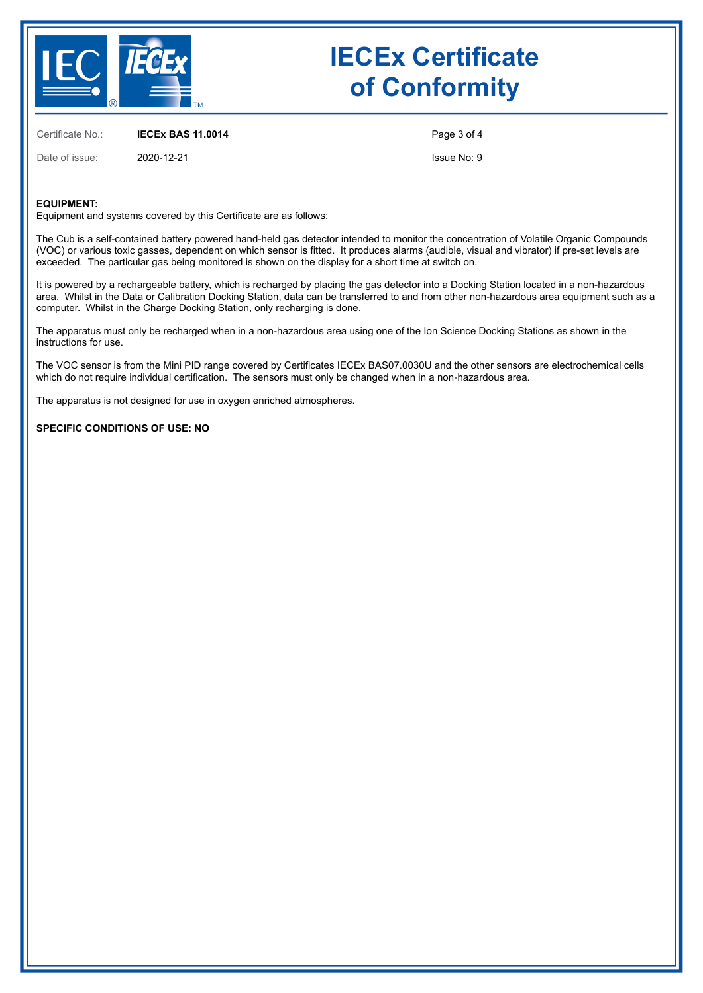

Certificate No.: **IECEx BAS 11.0014**

Date of issue: 2020-12-21

Page 3 of 4

Issue No: 9

### **EQUIPMENT:**

Equipment and systems covered by this Certificate are as follows:

The Cub is a self-contained battery powered hand-held gas detector intended to monitor the concentration of Volatile Organic Compounds (VOC) or various toxic gasses, dependent on which sensor is fitted. It produces alarms (audible, visual and vibrator) if pre-set levels are exceeded. The particular gas being monitored is shown on the display for a short time at switch on.

It is powered by a rechargeable battery, which is recharged by placing the gas detector into a Docking Station located in a non-hazardous area. Whilst in the Data or Calibration Docking Station, data can be transferred to and from other non‑hazardous area equipment such as a computer. Whilst in the Charge Docking Station, only recharging is done.

The apparatus must only be recharged when in a non-hazardous area using one of the Ion Science Docking Stations as shown in the instructions for use.

The VOC sensor is from the Mini PID range covered by Certificates IECEx BAS07.0030U and the other sensors are electrochemical cells which do not require individual certification. The sensors must only be changed when in a non-hazardous area.

The apparatus is not designed for use in oxygen enriched atmospheres.

### **SPECIFIC CONDITIONS OF USE: NO**